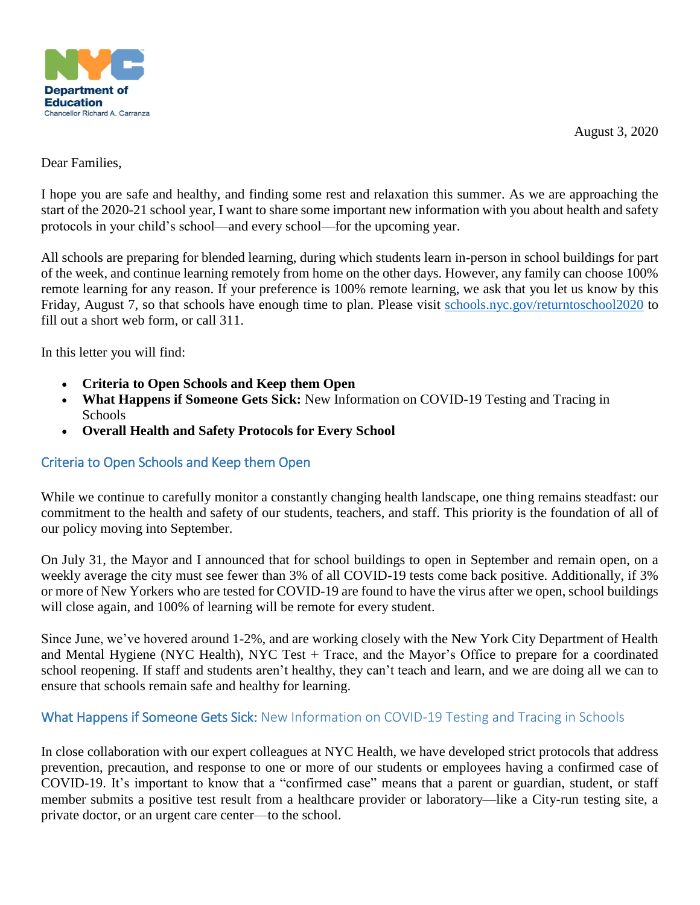

August 3, 2020

## Dear Families,

I hope you are safe and healthy, and finding some rest and relaxation this summer. As we are approaching the start of the 2020-21 school year, I want to share some important new information with you about health and safety protocols in your child's school—and every school—for the upcoming year.

All schools are preparing for blended learning, during which students learn in-person in school buildings for part of the week, and continue learning remotely from home on the other days. However, any family can choose 100% remote learning for any reason. If your preference is 100% remote learning, we ask that you let us know by this Friday, August 7, so that schools have enough time to plan. Please visit [schools.nyc.gov/returntoschool2020](https://www.schools.nyc.gov/school-year-20-21/return-to-school-2020) to fill out a short web form, or call 311.

In this letter you will find:

- **Criteria to Open Schools and Keep them Open**
- **What Happens if Someone Gets Sick:** New Information on COVID-19 Testing and Tracing in Schools
- **Overall Health and Safety Protocols for Every School**

## Criteria to Open Schools and Keep them Open

While we continue to carefully monitor a constantly changing health landscape, one thing remains steadfast: our commitment to the health and safety of our students, teachers, and staff. This priority is the foundation of all of our policy moving into September.

On July 31, the Mayor and I announced that for school buildings to open in September and remain open, on a weekly average the city must see fewer than 3% of all COVID-19 tests come back positive. Additionally, if 3% or more of New Yorkers who are tested for COVID-19 are found to have the virus after we open, school buildings will close again, and 100% of learning will be remote for every student.

Since June, we've hovered around 1-2%, and are working closely with the New York City Department of Health and Mental Hygiene (NYC Health), NYC Test + Trace, and the Mayor's Office to prepare for a coordinated school reopening. If staff and students aren't healthy, they can't teach and learn, and we are doing all we can to ensure that schools remain safe and healthy for learning.

## What Happens if Someone Gets Sick: New Information on COVID-19 Testing and Tracing in Schools

In close collaboration with our expert colleagues at NYC Health, we have developed strict protocols that address prevention, precaution, and response to one or more of our students or employees having a confirmed case of COVID-19. It's important to know that a "confirmed case" means that a parent or guardian, student, or staff member submits a positive test result from a healthcare provider or laboratory—like a City-run testing site, a private doctor, or an urgent care center—to the school.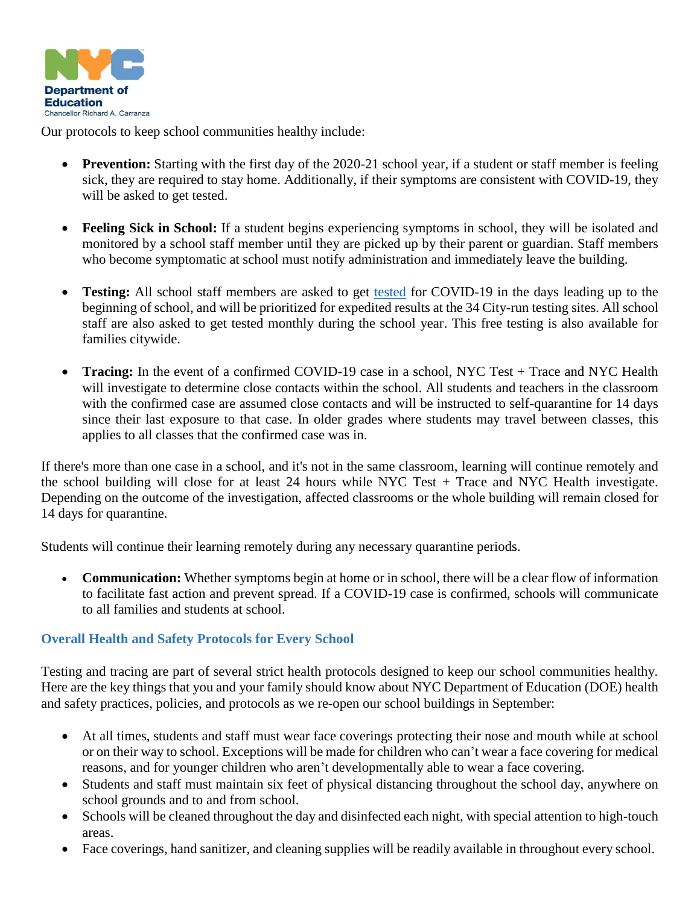

Our protocols to keep school communities healthy include:

- Prevention: Starting with the first day of the 2020-21 school year, if a student or staff member is feeling sick, they are required to stay home. Additionally, if their symptoms are consistent with COVID-19, they will be asked to get tested.
- **Feeling Sick in School:** If a student begins experiencing symptoms in school, they will be isolated and monitored by a school staff member until they are picked up by their parent or guardian. Staff members who become symptomatic at school must notify administration and immediately leave the building.
- **Testing:** All school staff members are asked to get [tested](https://www1.nyc.gov/site/coronavirus/get-tested/covid-19-testing.page) for COVID-19 in the days leading up to the beginning of school, and will be prioritized for expedited results at the 34 City-run testing sites. All school staff are also asked to get tested monthly during the school year. This free testing is also available for families citywide.
- **Tracing:** In the event of a confirmed COVID-19 case in a school, NYC Test + Trace and NYC Health will investigate to determine close contacts within the school. All students and teachers in the classroom with the confirmed case are assumed close contacts and will be instructed to self-quarantine for 14 days since their last exposure to that case. In older grades where students may travel between classes, this applies to all classes that the confirmed case was in.

If there's more than one case in a school, and it's not in the same classroom, learning will continue remotely and the school building will close for at least 24 hours while NYC Test + Trace and NYC Health investigate. Depending on the outcome of the investigation, affected classrooms or the whole building will remain closed for 14 days for quarantine.

Students will continue their learning remotely during any necessary quarantine periods.

 **Communication:** Whether symptoms begin at home or in school, there will be a clear flow of information to facilitate fast action and prevent spread. If a COVID-19 case is confirmed, schools will communicate to all families and students at school.

## **Overall Health and Safety Protocols for Every School**

Testing and tracing are part of several strict health protocols designed to keep our school communities healthy. Here are the key things that you and your family should know about NYC Department of Education (DOE) health and safety practices, policies, and protocols as we re-open our school buildings in September:

- At all times, students and staff must wear face coverings protecting their nose and mouth while at school or on their way to school. Exceptions will be made for children who can't wear a face covering for medical reasons, and for younger children who aren't developmentally able to wear a face covering.
- Students and staff must maintain six feet of physical distancing throughout the school day, anywhere on school grounds and to and from school.
- Schools will be cleaned throughout the day and disinfected each night, with special attention to high-touch areas.
- Face coverings, hand sanitizer, and cleaning supplies will be readily available in throughout every school.